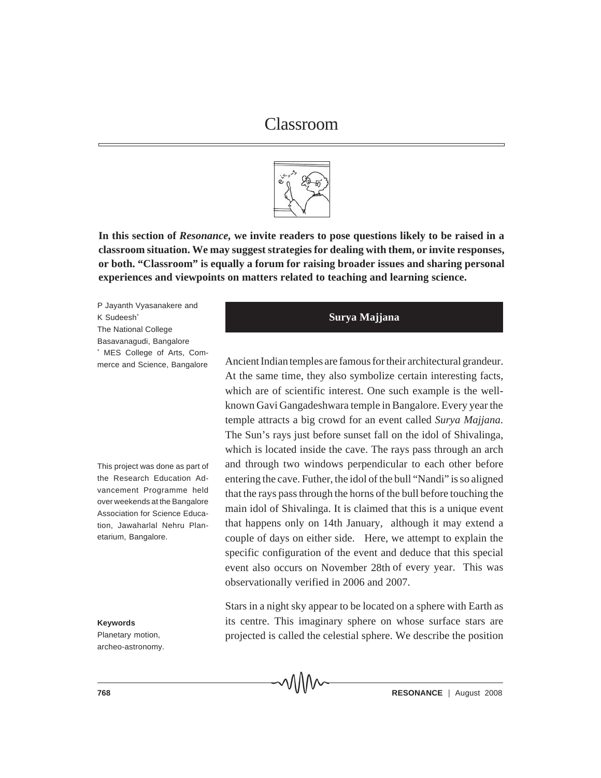

**In this section of** *Resonance,* **we invite readers to pose questions likely to be raised in a classroom situation. We may suggest strategies for dealing with them, or invite responses, or both. "Classroom" is equally a forum for raising broader issues and sharing personal experiences and viewpoints on matters related to teaching and learning science.**

P Jayanth Vyasanakere and K Sudeesh<sup>\*</sup> The National College Basavanagudi, Bangalore \* MES College of Arts, Commerce and Science, Bangalore

This project was done as part of the Research Education Advancement Programme held over weekends at the Bangalore Association for Science Education, Jawaharlal Nehru Planetarium, Bangalore.

**Keywords**

Planetary motion, archeo-astronomy.

# **Surya Majjana**

Ancient Indian temples are famous for their architectural grandeur. At the same time, they also symbolize certain interesting facts, which are of scientific interest. One such example is the wellknown Gavi Gangadeshwara temple in Bangalore. Every year the temple attracts a big crowd for an event called *Surya Majjana*. The Sun's rays just before sunset fall on the idol of Shivalinga, which is located inside the cave. The rays pass through an arch and through two windows perpendicular to each other before entering the cave. Futher, the idol of the bull "Nandi" is so aligned that the rays pass through the horns of the bull before touching the main idol of Shivalinga. It is claimed that this is a unique event that happens only on 14th January, although it may extend a couple of days on either side. Here, we attempt to explain the specific configuration of the event and deduce that this special event also occurs on November 28th of every year.This was observationally verified in 2006 and 2007.

Stars in a night sky appear to be located on a sphere with Earth as its centre. This imaginary sphere on whose surface stars are projected is called the celestial sphere. We describe the position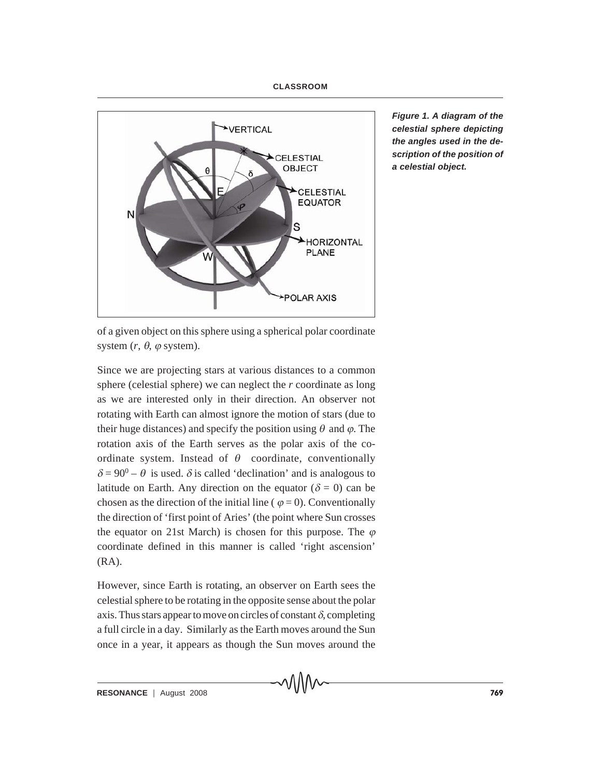## **CLASSROOM**



*Figure 1. A diagram of the celestial sphere depicting the angles used in the description of the position of a celestial object.*

of a given object on this sphere using a spherical polar coordinate system  $(r, \theta, \varphi)$  system).

Since we are projecting stars at various distances to a common sphere (celestial sphere) we can neglect the *r* coordinate as long as we are interested only in their direction. An observer not rotating with Earth can almost ignore the motion of stars (due to their huge distances) and specify the position using  $\theta$  and  $\varphi$ . The rotation axis of the Earth serves as the polar axis of the coordinate system. Instead of  $\theta$  coordinate, conventionally  $\delta = 90^0 - \theta$  is used.  $\delta$  is called 'declination' and is analogous to latitude on Earth. Any direction on the equator ( $\delta = 0$ ) can be chosen as the direction of the initial line ( $\varphi = 0$ ). Conventionally the direction of 'first point of Aries' (the point where Sun crosses the equator on 21st March) is chosen for this purpose. The  $\varphi$ coordinate defined in this manner is called 'right ascension' (RA).

However, since Earth is rotating, an observer on Earth sees the celestial sphere to be rotating in the opposite sense about the polar axis. Thus stars appear to move on circles of constant  $\delta$ , completing a full circle in a day. Similarly as the Earth moves around the Sun once in a year, it appears as though the Sun moves around the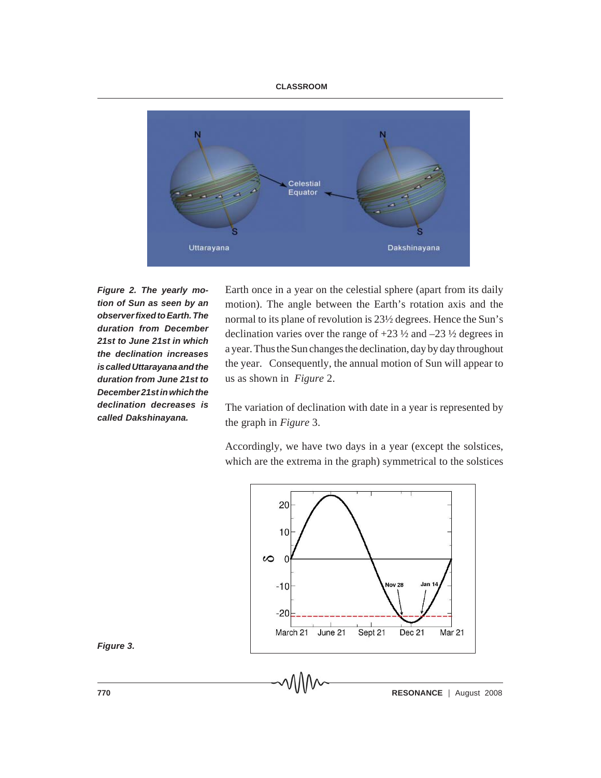#### **CLASSROOM**



*Figure 2. The yearly motion of Sun as seen by an observer fixed to Earth. The duration from December 21st to June 21st in which the declination increases is called Uttarayana and the duration from June 21st to December 21st in which the declination decreases is called Dakshinayana.*

Earth once in a year on the celestial sphere (apart from its daily motion). The angle between the Earth's rotation axis and the normal to its plane of revolution is 23½ degrees. Hence the Sun's declination varies over the range of  $+23\frac{1}{2}$  and  $-23\frac{1}{2}$  degrees in a year. Thus the Sun changes the declination, day by day throughout the year. Consequently, the annual motion of Sun will appear to us as shown in *Figure* 2.

The variation of declination with date in a year is represented by the graph in *Figure* 3.

Accordingly, we have two days in a year (except the solstices, which are the extrema in the graph) symmetrical to the solstices



*Figure 3.*

**770 RESONANCE**  $\vee$  **V V**  $\vee$  **RESONANCE** | August 2008